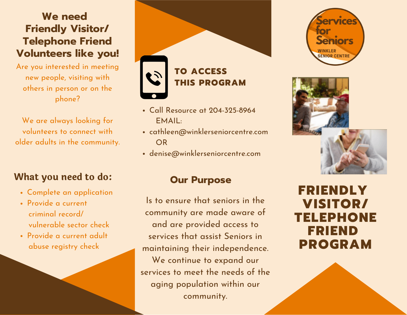## **We need Friendly Visitor/ Telephone Friend Volunteers like you!**

Are you interested in meeting new people, visiting with others in person or on the phone?

We are always looking for volunteers to connect with older adults in the community.

#### **What you need to do:**

- Complete an application
- Provide a current criminal record/ vulnerable sector check
- Provide a current adult abuse registry check

# **TO ACCESS THIS PROGRAM**

- Call Resource at 204-325-8964 EMAIL:
- cathleen@winklerseniorcentre.com OR
- denise@winklerseniorcentre.com

#### **Our Purpose**

Is to ensure that seniors in the community are made aware of and are provided access to services that assist Seniors in maintaining their independence. We continue to expand our services to meet the needs of the aging population within our community.





# **FRIENDLY VISITOR/ TELEPHONE FRIEND PROGRAM**